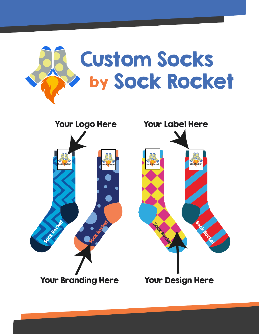



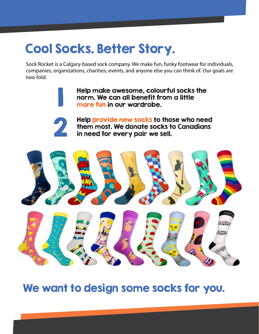# Cool Socks. Better Story.

Sock Rocket is a Calgary-based sock company. We make fun, funky footwear for individuals, companies, organizations, charities, events, and anyone else you can think of. Our goals are two-fold:

> Help make awesome, colourful socks the norm. We can all benefit from a little more fun in our wardrobe.



1

Help provide new socks to those who need them most. We donate socks to Canadians in need for every pair we sell.



We want to design some socks for you.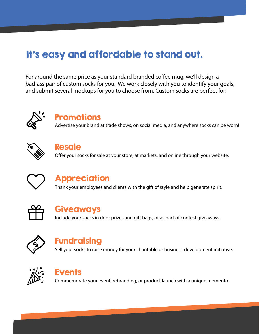## It's easy and affordable to stand out.

For around the same price as your standard branded coffee mug, we'll design a bad-ass pair of custom socks for you. We work closely with you to identify your goals, and submit several mockups for you to choose from. Custom socks are perfect for:



#### **Promotions**

Advertise your brand at trade shows, on social media, and anywhere socks can be worn!



#### Resale

Offer your socks for sale at your store, at markets, and online through your website.



#### **Appreciation**

Thank your employees and clients with the gift of style and help generate spirit.



#### Giveaways

Include your socks in door prizes and gift bags, or as part of contest giveaways.



#### Fundraising

Sell your socks to raise money for your charitable or business-development initiative.



## Events

Commemorate your event, rebranding, or product launch with a unique memento.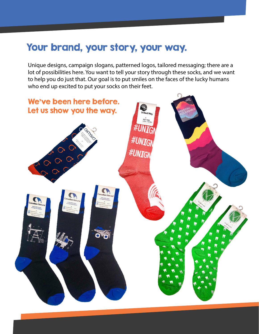## Your brand, your story, your way.

Unique designs, campaign slogans, patterned logos, tailored messaging; there are a lot of possibilities here. You want to tell your story through these socks, and we want to help you do just that. Our goal is to put smiles on the faces of the lucky humans who end up excited to put your socks on their feet.

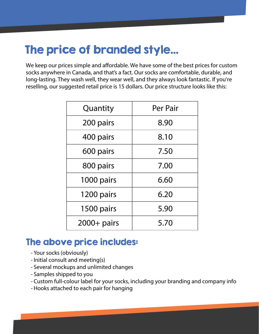# The price of branded style...

We keep our prices simple and affordable. We have some of the best prices for custom socks anywhere in Canada, and that's a fact. Our socks are comfortable, durable, and long-lasting. They wash well, they wear well, and they always look fantastic. If you're reselling, our suggested retail price is 15 dollars. Our price structure looks like this:

| Quantity      | Per Pair |
|---------------|----------|
| 200 pairs     | 8.90     |
| 400 pairs     | 8.10     |
| 600 pairs     | 7.50     |
| 800 pairs     | 7.00     |
| 1000 pairs    | 6.60     |
| 1200 pairs    | 6.20     |
| 1500 pairs    | 5.90     |
| $2000+$ pairs | 5.70     |

#### The above price includes:

- Your socks (obviously)
- Initial consult and meeting(s)
- Several mockups and unlimited changes
- Samples shipped to you
- Custom full-colour label for your socks, including your branding and company info
- Hooks attached to each pair for hanging